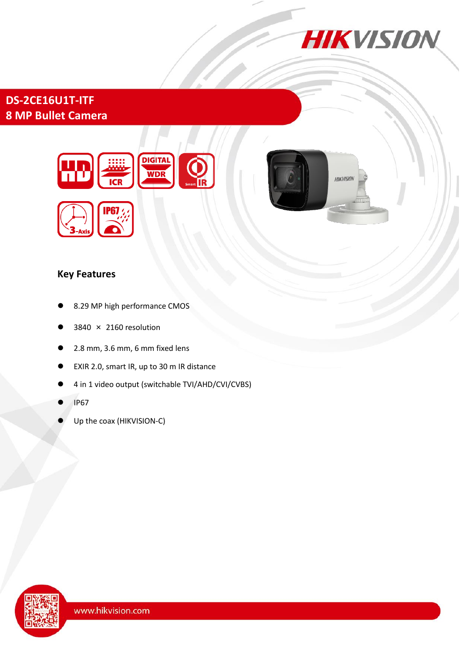

**HIKVISION** 

# **DS-2CE16U1T-ITF 8 MP Bullet Camera**



### **Key Features**

- 8.29 MP high performance CMOS
- 3840 × 2160 resolution
- 2.8 mm, 3.6 mm, 6 mm fixed lens
- EXIR 2.0, smart IR, up to 30 m IR distance
- 4 in 1 video output (switchable TVI/AHD/CVI/CVBS)
- IP67
- Up the coax (HIKVISION-C)

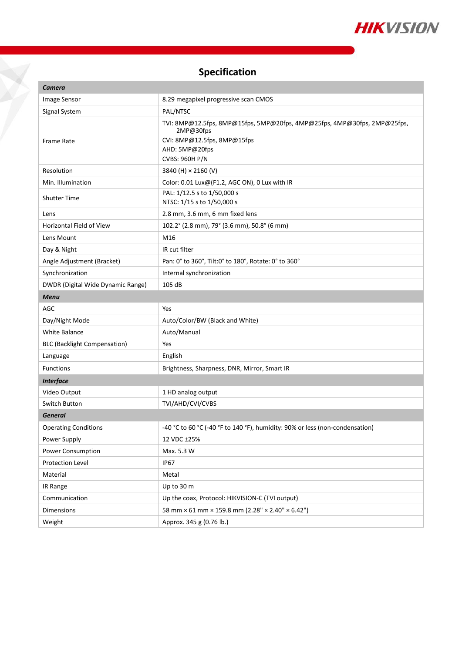

# **Specification**

X

| Camera                              |                                                                                                                                                                 |
|-------------------------------------|-----------------------------------------------------------------------------------------------------------------------------------------------------------------|
| Image Sensor                        | 8.29 megapixel progressive scan CMOS                                                                                                                            |
| Signal System                       | PAL/NTSC                                                                                                                                                        |
| Frame Rate                          | TVI: 8MP@12.5fps, 8MP@15fps, 5MP@20fps, 4MP@25fps, 4MP@30fps, 2MP@25fps,<br>2MP@30fps<br>CVI: 8MP@12.5fps, 8MP@15fps<br>AHD: 5MP@20fps<br><b>CVBS: 960H P/N</b> |
| Resolution                          | 3840 (H) × 2160 (V)                                                                                                                                             |
| Min. Illumination                   | Color: 0.01 Lux@(F1.2, AGC ON), 0 Lux with IR                                                                                                                   |
| <b>Shutter Time</b>                 | PAL: 1/12.5 s to 1/50,000 s<br>NTSC: 1/15 s to 1/50,000 s                                                                                                       |
| Lens                                | 2.8 mm, 3.6 mm, 6 mm fixed lens                                                                                                                                 |
| Horizontal Field of View            | 102.2° (2.8 mm), 79° (3.6 mm), 50.8° (6 mm)                                                                                                                     |
| Lens Mount                          | M16                                                                                                                                                             |
| Day & Night                         | IR cut filter                                                                                                                                                   |
| Angle Adjustment (Bracket)          | Pan: 0° to 360°, Tilt:0° to 180°, Rotate: 0° to 360°                                                                                                            |
| Synchronization                     | Internal synchronization                                                                                                                                        |
| DWDR (Digital Wide Dynamic Range)   | 105 dB                                                                                                                                                          |
| <b>Menu</b>                         |                                                                                                                                                                 |
| AGC                                 | Yes                                                                                                                                                             |
| Day/Night Mode                      | Auto/Color/BW (Black and White)                                                                                                                                 |
| <b>White Balance</b>                | Auto/Manual                                                                                                                                                     |
| <b>BLC (Backlight Compensation)</b> | Yes                                                                                                                                                             |
| Language                            | English                                                                                                                                                         |
| <b>Functions</b>                    | Brightness, Sharpness, DNR, Mirror, Smart IR                                                                                                                    |
| <b>Interface</b>                    |                                                                                                                                                                 |
| Video Output                        | 1 HD analog output                                                                                                                                              |
| Switch Button                       | TVI/AHD/CVI/CVBS                                                                                                                                                |
| <b>General</b>                      |                                                                                                                                                                 |
| <b>Operating Conditions</b>         | -40 °C to 60 °C (-40 °F to 140 °F), humidity: 90% or less (non-condensation)                                                                                    |
| Power Supply                        | 12 VDC ±25%                                                                                                                                                     |
| Power Consumption                   | Max. 5.3 W                                                                                                                                                      |
| <b>Protection Level</b>             | IP67                                                                                                                                                            |
| Material                            | Metal                                                                                                                                                           |
| IR Range                            | Up to 30 m                                                                                                                                                      |
| Communication                       | Up the coax, Protocol: HIKVISION-C (TVI output)                                                                                                                 |
| Dimensions                          | 58 mm × 61 mm × 159.8 mm (2.28" × 2.40" × 6.42")                                                                                                                |
| Weight                              | Approx. 345 g (0.76 lb.)                                                                                                                                        |